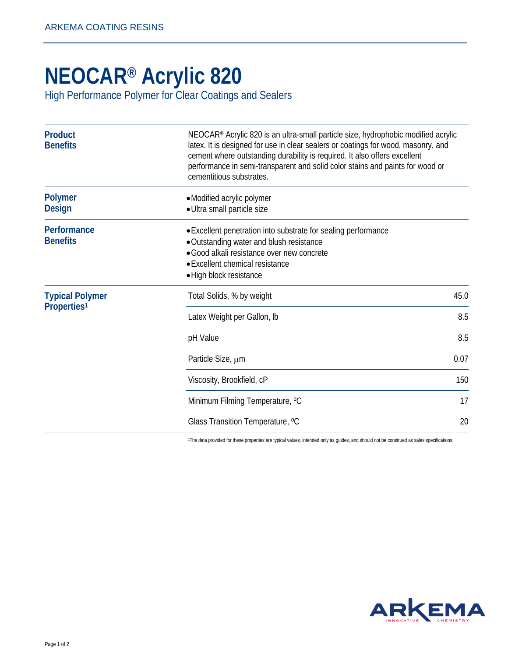## **[NEOCAR® Acrylic 820](http://www.arkemacoatingresins.com/en/)**

High Performance Polymer for Clear Coatings and Sealers

| <b>Product</b><br><b>Benefits</b>                 | NEOCAR® Acrylic 820 is an ultra-small particle size, hydrophobic modified acrylic<br>latex. It is designed for use in clear sealers or coatings for wood, masonry, and<br>cement where outstanding durability is required. It also offers excellent<br>performance in semi-transparent and solid color stains and paints for wood or<br>cementitious substrates. |      |
|---------------------------------------------------|------------------------------------------------------------------------------------------------------------------------------------------------------------------------------------------------------------------------------------------------------------------------------------------------------------------------------------------------------------------|------|
| <b>Polymer</b><br><b>Design</b>                   | • Modified acrylic polymer<br>· Ultra small particle size                                                                                                                                                                                                                                                                                                        |      |
| Performance<br><b>Benefits</b>                    | • Excellent penetration into substrate for sealing performance<br>• Outstanding water and blush resistance<br>· Good alkali resistance over new concrete<br>• Excellent chemical resistance<br>• High block resistance                                                                                                                                           |      |
| <b>Typical Polymer</b><br>Properties <sup>1</sup> | Total Solids, % by weight                                                                                                                                                                                                                                                                                                                                        | 45.0 |
|                                                   | Latex Weight per Gallon, Ib                                                                                                                                                                                                                                                                                                                                      | 8.5  |
|                                                   | pH Value                                                                                                                                                                                                                                                                                                                                                         | 8.5  |
|                                                   | Particle Size, µm                                                                                                                                                                                                                                                                                                                                                | 0.07 |
|                                                   | Viscosity, Brookfield, cP                                                                                                                                                                                                                                                                                                                                        | 150  |
|                                                   | Minimum Filming Temperature, °C                                                                                                                                                                                                                                                                                                                                  | 17   |
|                                                   | Glass Transition Temperature, °C                                                                                                                                                                                                                                                                                                                                 | 20   |

1The data provided for these properties are typical values, intended only as guides, and should not be construed as sales specifications.